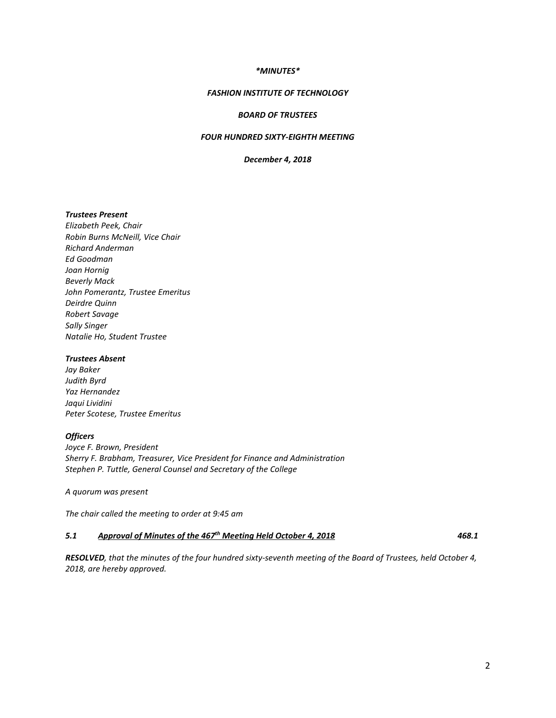### *\*MINUTES\**

### *FASHION INSTITUTE OF TECHNOLOGY*

### *BOARD OF TRUSTEES*

### *FOUR HUNDRED SIXTY-EIGHTH MEETING*

*December 4, 2018*

# *Trustees Present*

*Elizabeth Peek, Chair Robin Burns McNeill, Vice Chair Richard Anderman Ed Goodman Joan Hornig Beverly Mack John Pomerantz, Trustee Emeritus Deirdre Quinn Robert Savage Sally Singer Natalie Ho, Student Trustee*

#### *Trustees Absent*

*Jay Baker Judith Byrd Yaz Hernandez Jaqui Lividini Peter Scotese, Trustee Emeritus*

#### *Officers*

*Joyce F. Brown, President Sherry F. Brabham, Treasurer, Vice President for Finance and Administration Stephen P. Tuttle, General Counsel and Secretary of the College*

*A quorum was present*

*The chair called the meeting to order at 9:45 am*

# *5.1 Approval of Minutes of the 467th Meeting Held October 4, 2018 468.1*

*RESOLVED, that the minutes of the four hundred sixty-seventh meeting of the Board of Trustees, held October 4, 2018, are hereby approved.*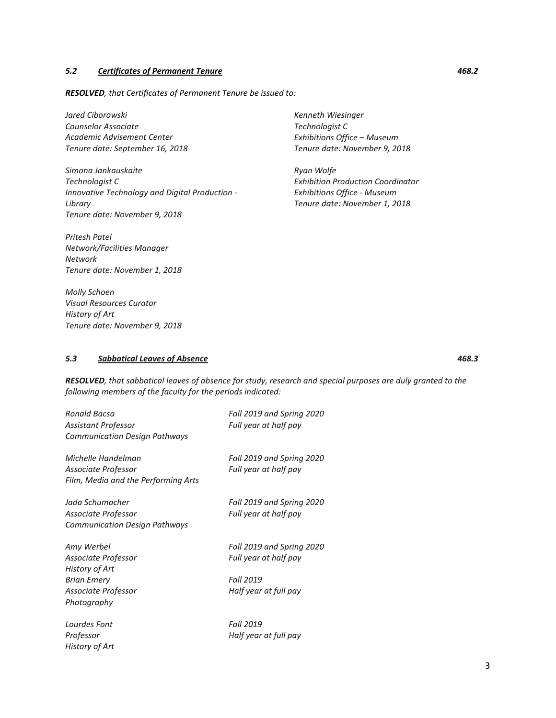# *5.2 Certificates of Permanent Tenure 468.2*

*RESOLVED, that Certificates of Permanent Tenure be issued to:* 

*Jared Ciborowski Counselor Associate Academic Advisement Center Tenure date: September 16, 2018*

*Simona Jankauskaite Technologist C Innovative Technology and Digital Production - Library Tenure date: November 9, 2018*

*Pritesh Patel Network/Facilities Manager Network Tenure date: November 1, 2018*

*Molly Schoen Visual Resources Curator History of Art Tenure date: November 9, 2018*

*Kenneth Wiesinger Technologist C Exhibitions Office – Museum Tenure date: November 9, 2018*

*Ryan Wolfe Exhibition Production Coordinator Exhibitions Office - Museum Tenure date: November 1, 2018*

# *5.3 Sabbatical Leaves of Absence 468.3*

*RESOLVED, that sabbatical leaves of absence for study, research and special purposes are duly granted to the following members of the faculty for the periods indicated:*

| Ronald Bacsa<br>Assistant Professor<br><b>Communication Design Pathways</b>                                     | Fall 2019 and Spring 2020<br>Full year at half pay                                       |
|-----------------------------------------------------------------------------------------------------------------|------------------------------------------------------------------------------------------|
| Michelle Handelman<br>Associate Professor<br>Film, Media and the Performing Arts                                | Fall 2019 and Spring 2020<br>Full year at half pay                                       |
| Jada Schumacher<br>Associate Professor<br><b>Communication Design Pathways</b>                                  | Fall 2019 and Spring 2020<br>Full year at half pay                                       |
| Amy Werbel<br>Associate Professor<br>History of Art<br><b>Brian Emery</b><br>Associate Professor<br>Photography | Fall 2019 and Spring 2020<br>Full year at half pay<br>Fall 2019<br>Half year at full pay |
| Lourdes Font<br>Professor<br>History of Art                                                                     | Fall 2019<br>Half year at full pay                                                       |